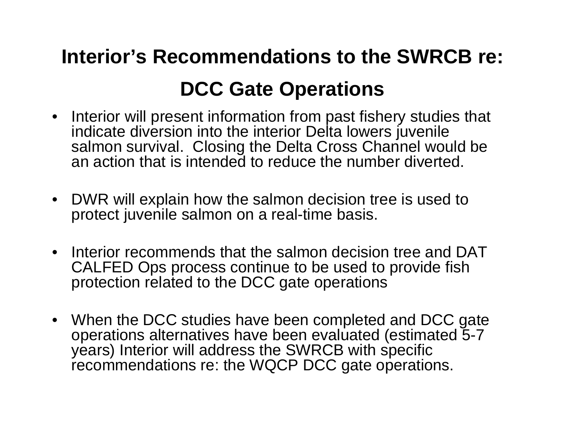# **Interior's Recommendations to the SWRCB re: DCC Gate Operations**

- Interior will present information from past fishery studies that indicate diversion into the interior Delta lowers juvenile salmon survival. Closing the Delta Cross Channel would be an action that is intended to reduce the number diverted.
- $\bullet$  DWR will explain how the salmon decision tree is used to protect juvenile salmon on a real-time basis.
- $\bullet$  Interior recommends that the salmon decision tree and DAT CALFED Ops process continue to be used to provide fish protection related to the DCC gate operations
- When the DCC studies have been completed and DCC gate operations alternatives have been evaluated (estimated 5-7 years) Interior will address the SWRCB with specific recommendations re: the WQCP DCC gate operations.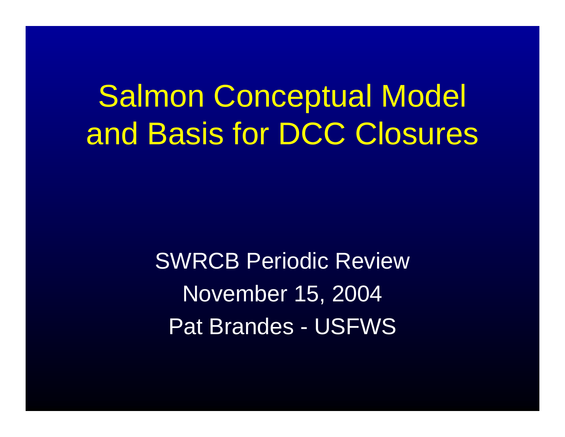Salmon Conceptual Model and Basis for DCC Closures

> SWRCB Periodic ReviewNovember 15, 2004 Pat Brandes - USFWS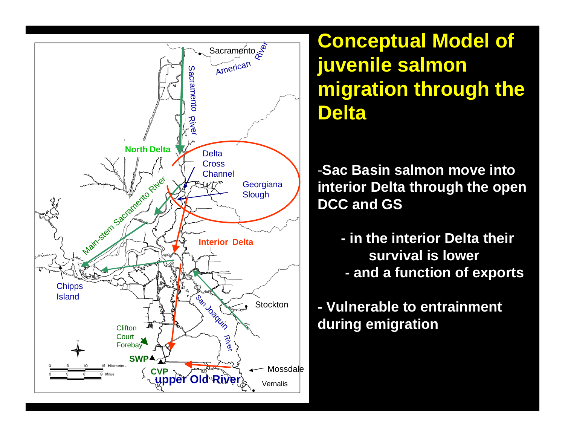

**Conceptual Model of juvenile salmon migration through the Delta**

-**Sac Basin salmon move into interior Delta through the open DCC and GS**

**- in the interior Delta their survival is lower - and a function of exports**

**- Vulnerable to entrainment during emigration**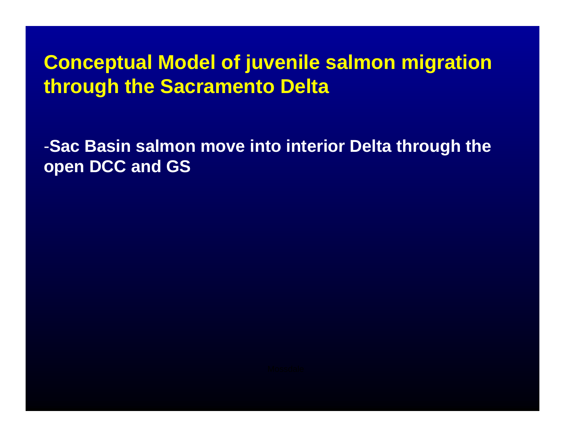## **Conceptual Model of juvenile salmon migration through the Sacramento Delta**

-**Sac Basin salmon move into interior Delta through the open DCC and GS**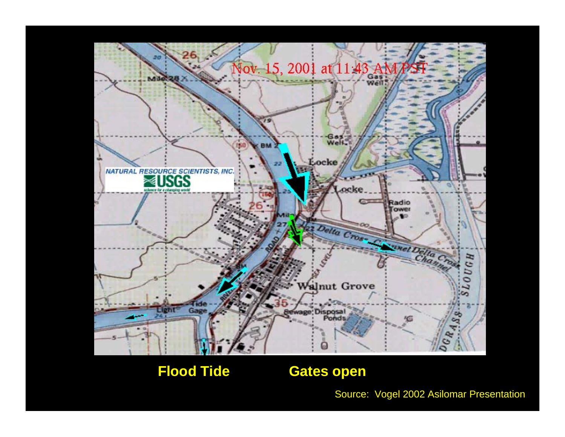

#### **Flood Tide Gates open**

Source: Vogel 2002 Asilomar Presentation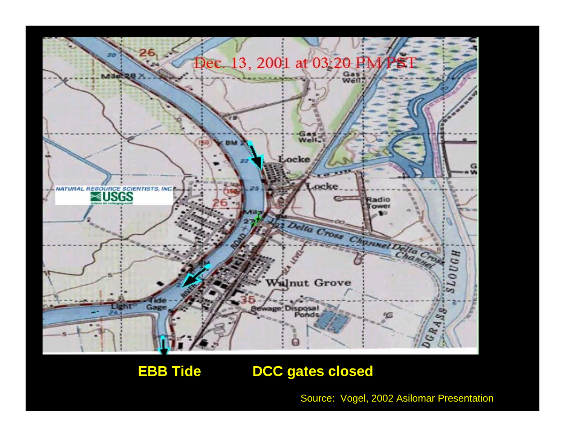

**EBB Tide DCC gates closed** 

Source: Vogel, 2002 Asilomar Presentation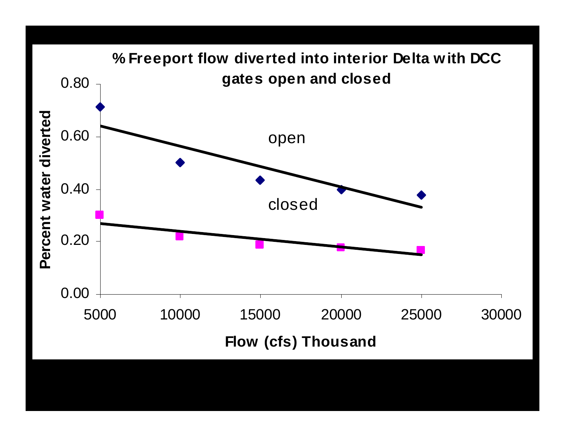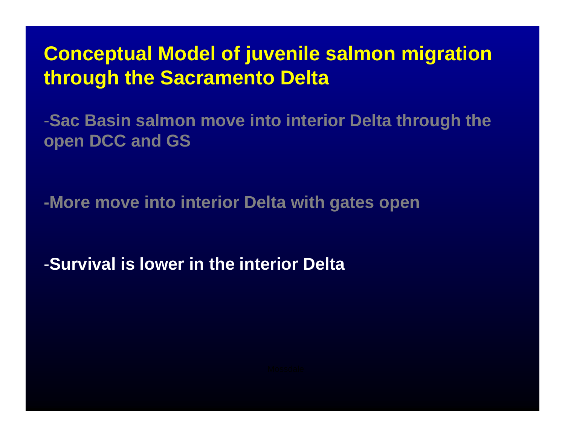**Conceptual Model of juvenile salmon migration through the Sacramento Delta**

-**Sac Basin salmon move into interior Delta through the open DCC and GS** 

**-More move into interior Delta with gates open**

-**Survival is lower in the interior Delta**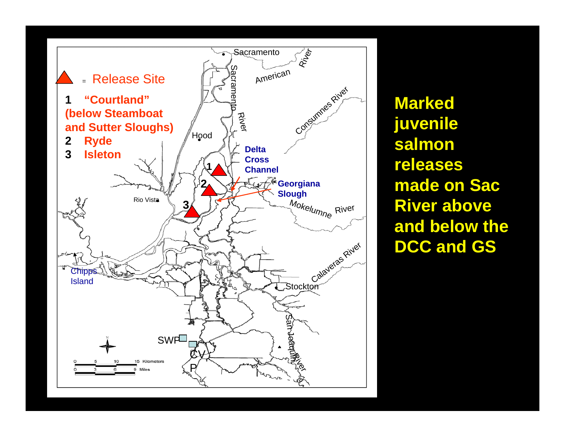

**Marked juvenile salmon releases made on Sac River above and below the DCC and GS**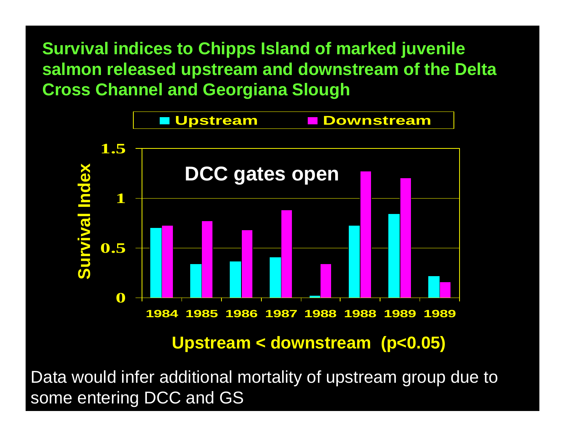**Survival indices to Chipps Island of marked juvenile salmon released upstream and downstream of the Delta Cross Channel and Georgiana Slough**



### **Upstream < downstream (p<0.05)**

Data would infer additional mortality of upstream group due to some entering DCC and GS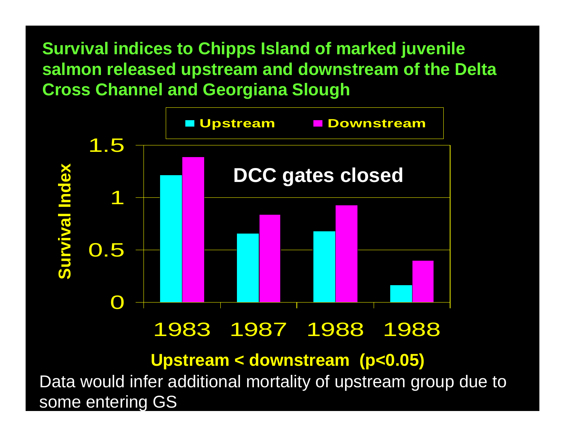**Survival indices to Chipps Island of marked juvenile salmon released upstream and downstream of the Delta Cross Channel and Georgiana Slough**



### 1983 1987 1988 1988

**Upstream < downstream (p<0.05)**

Data would infer additional mortality of upstream group due to some enterin g GS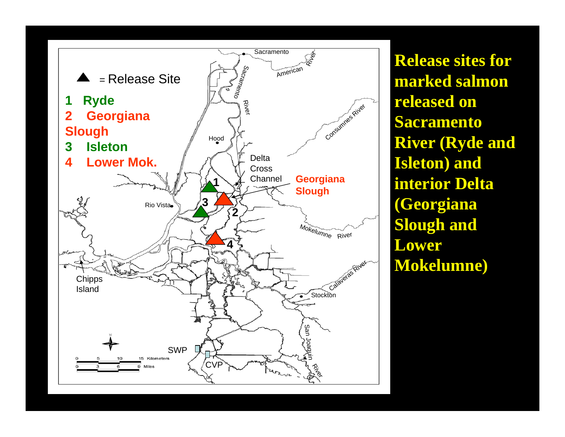

**Release sites for marked salmon released on Sacramento River (Ryde and Isleton) and interior Delta (Georgiana Slough and Lower Mokelumne)**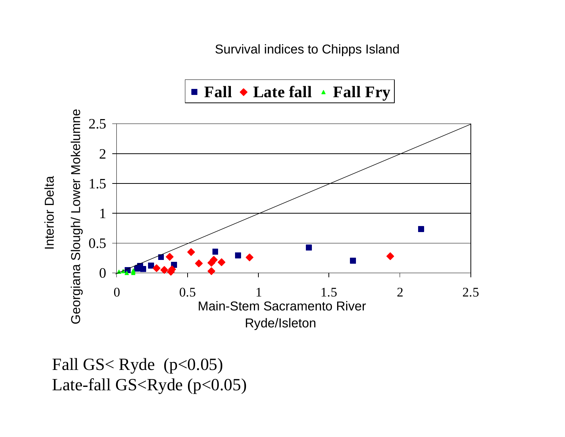Survival indices to Chipps Island



Fall GS< Ryde  $(p<0.05)$ Late-fall GS<Ryde (p<0.05)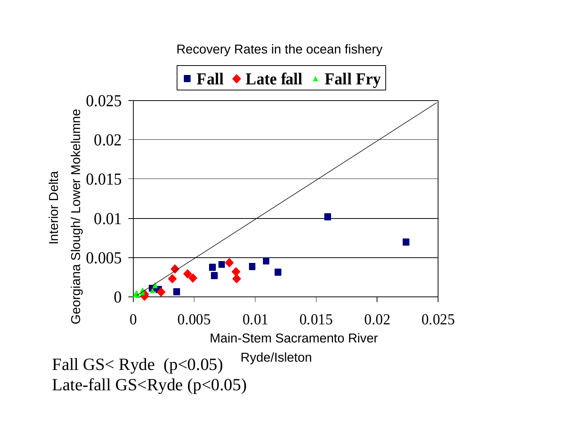Recovery Rates in the ocean fishery

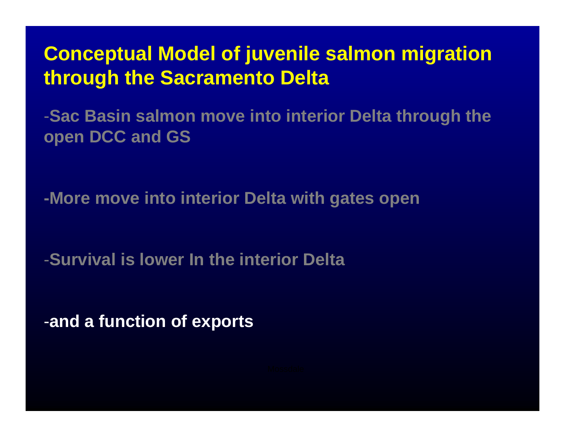**Conceptual Model of juvenile salmon migration through the Sacramento Delta**

-**Sac Basin salmon move into interior Delta through the open DCC and GS** 

**-More move into interior Delta with gates open**

-**Survival is lower In the interior Delta** 

-**and a function of exports**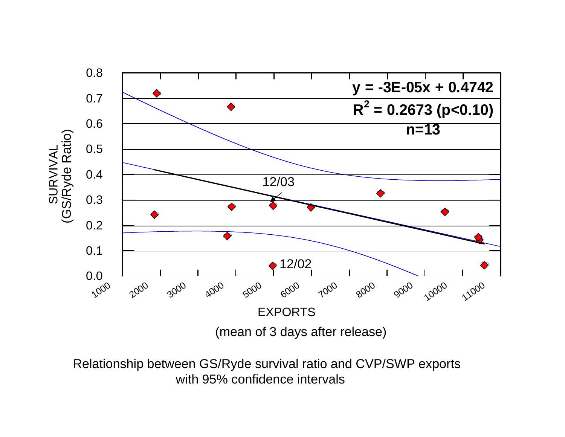

Relationship between GS/Ryde survival ratio and CVP/SWP exports with 95% confidence intervals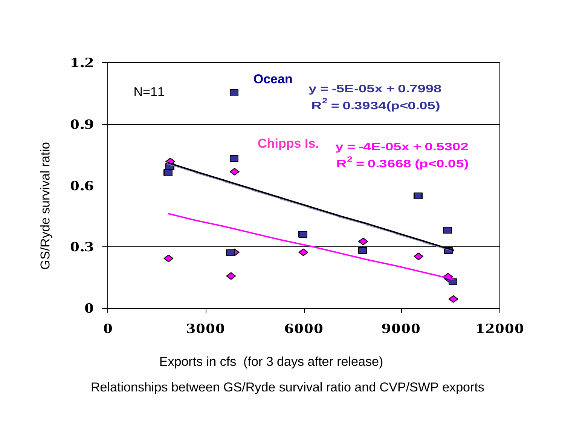![](_page_16_Figure_0.jpeg)

Exports in cfs (for 3 days after release)

Relationships between GS/Ryde survival ratio and CVP/SWP exports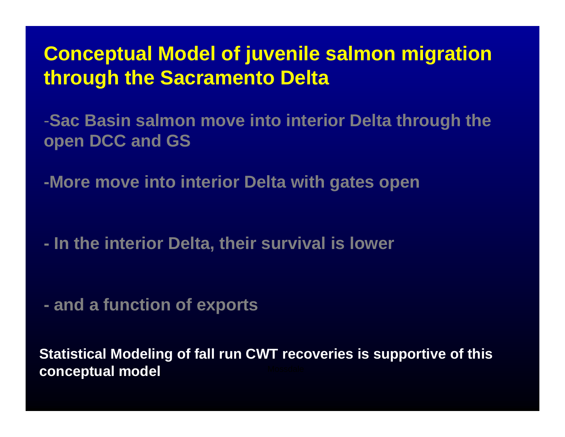### **Conceptual Model of juvenile salmon migration through the Sacramento Delta**

-**Sac Basin salmon move into interior Delta through the open DCC and GS** 

**-More move into interior Delta with gates open**

 **In the interior Delta, their survival is lower** 

 **and a function of exports**

**Statistical Modeling of fall run CWT recoveries is supportive of this conceptual model**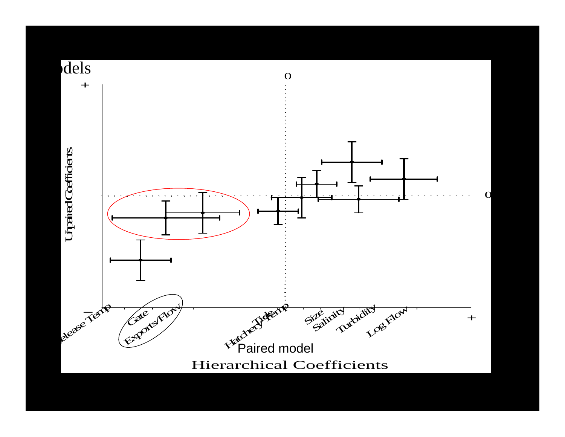![](_page_18_Figure_0.jpeg)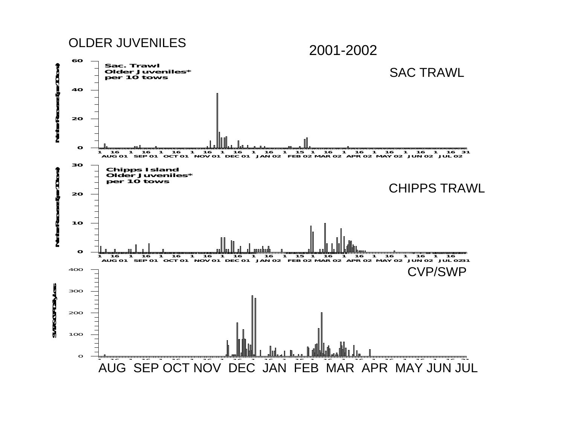**SACRAMENTO RIVER AND DELTA**OLDER JUVENILES

2001-2002

![](_page_19_Figure_2.jpeg)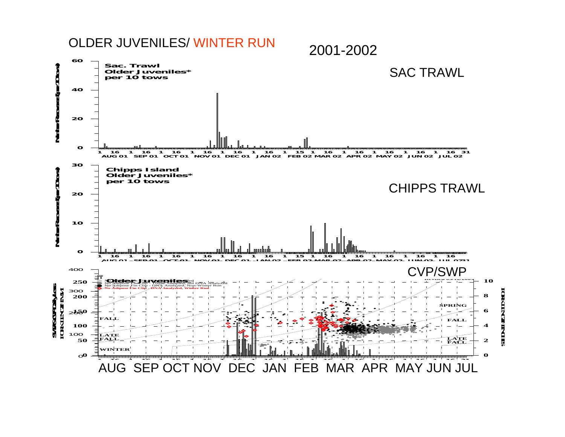#### **SACRAMENTO RIVER AND DELTA**OLDER JUVENILES/ WINTER RUN

2001-2002

![](_page_20_Figure_2.jpeg)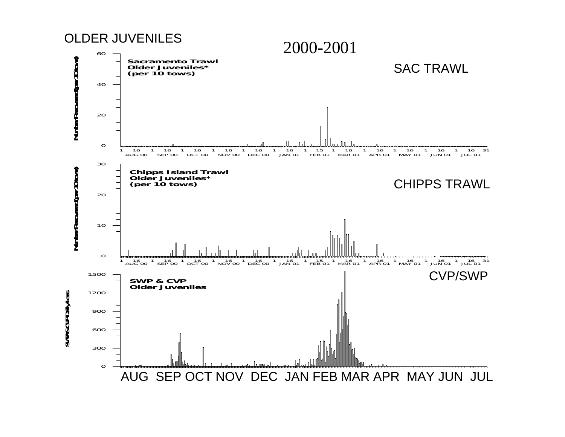![](_page_21_Figure_0.jpeg)

![](_page_21_Figure_1.jpeg)

**SWP & CVP Daily Loss**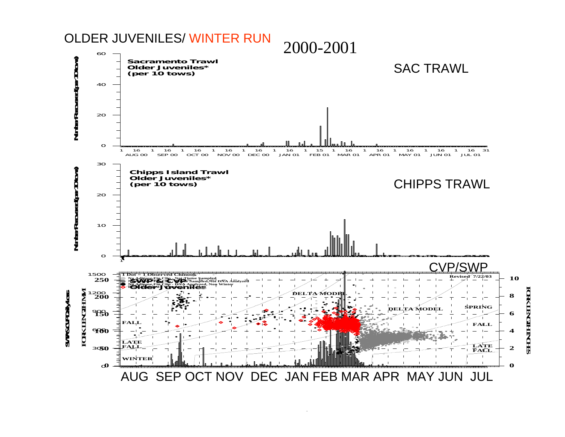#### **NUMBER OF JUVENILE CHINOOK RECOVERED IN THESACRAMENTO RIVER AND DELTA**OLDER JUVENILES/ WINTER RUN

![](_page_22_Figure_1.jpeg)

**FORK LENGTH INCHES** 本人工学会正当人正好

**PRELIMINARY, SUBJECT TO REVISION**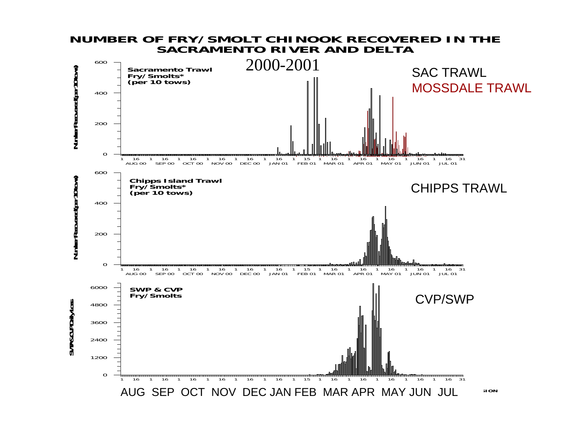#### **NUMBER OF FRY/SMOLT CHINOOK RECOVERED IN THESACRAMENTO RIVER AND DELTA**

![](_page_23_Figure_1.jpeg)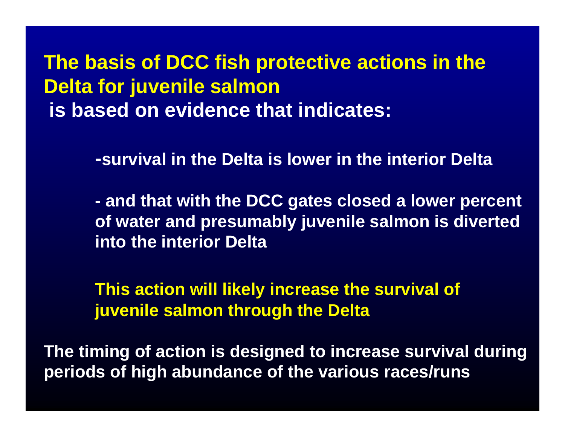**The basis of DCC fish protective actions in the Delta for juvenile salmon is based on evidence that indicates:**

**-survival in the Delta is lower in the interior Delta**

 **and that with the DCC gates closed a lower percent of water and presumably juvenile salmon is diverted into the interior Delta** 

**This action will likely increase the survival of juvenile salmon through the Delta**

**The timing of action is designed to increase survival during periods of high abundance of the various races/runs**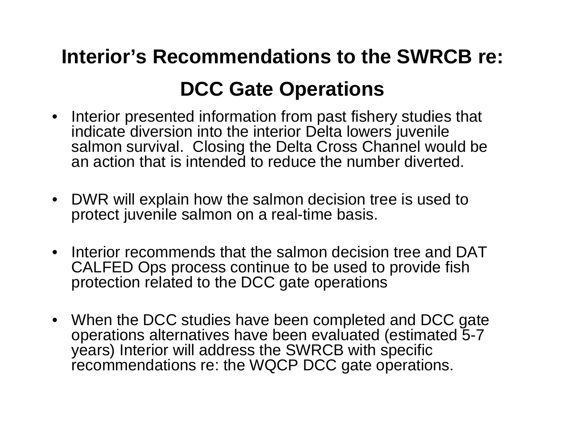# **Interior's Recommendations to the SWRCB re: DCC Gate Operations**

- Interior presented information from past fishery studies that indicate diversion into the interior Delta lowers juvenile salmon survival. Closing the Delta Cross Channel would be an action that is intended to reduce the number diverted.
- $\bullet$  DWR will explain how the salmon decision tree is used to protect juvenile salmon on a real-time basis.
- $\bullet$  Interior recommends that the salmon decision tree and DAT CALFED Ops process continue to be used to provide fish protection related to the DCC gate operations
- When the DCC studies have been completed and DCC gate operations alternatives have been evaluated (estimated 5-7 years) Interior will address the SWRCB with specific recommendations re: the WQCP DCC gate operations.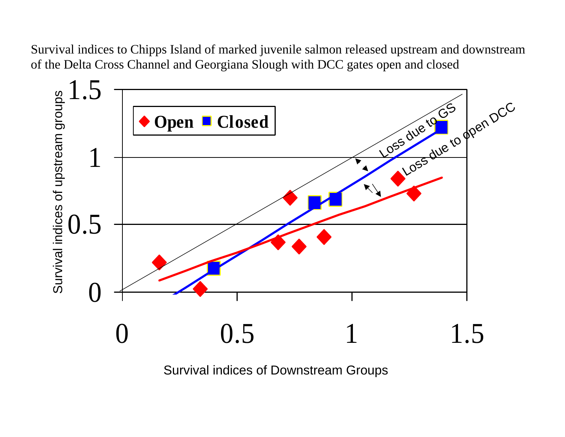Survival indices to Chipps Island of marked juvenile salmon released upstream and downstream of the Delta Cross Channel and Georgiana Slough with DCC gates open and closed

![](_page_27_Figure_1.jpeg)

Survival indices of Downstream Groups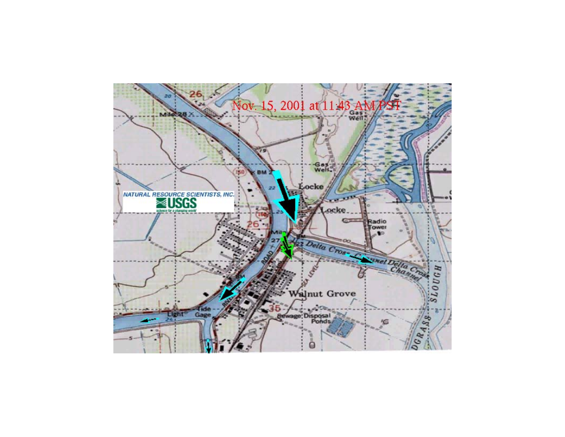![](_page_28_Figure_0.jpeg)